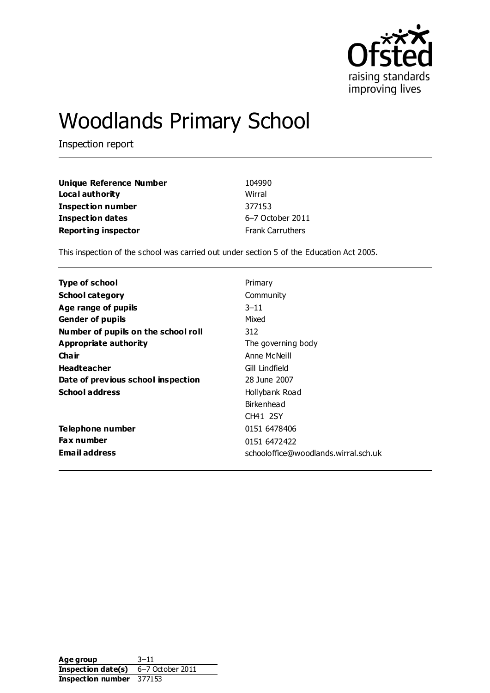

# Woodlands Primary School

Inspection report

| Unique Reference Number    | 104990                  |
|----------------------------|-------------------------|
| Local authority            | Wirral                  |
| <b>Inspection number</b>   | 377153                  |
| <b>Inspection dates</b>    | 6-7 October 2011        |
| <b>Reporting inspector</b> | <b>Frank Carruthers</b> |

This inspection of the school was carried out under section 5 of the Education Act 2005.

| Type of school                      | Primary                              |
|-------------------------------------|--------------------------------------|
| <b>School category</b>              | Community                            |
| Age range of pupils                 | $3 - 11$                             |
| <b>Gender of pupils</b>             | Mixed                                |
| Number of pupils on the school roll | 312                                  |
| Appropriate authority               | The governing body                   |
| Cha ir                              | Anne McNeill                         |
| <b>Headteacher</b>                  | Gill Lindfield                       |
| Date of previous school inspection  | 28 June 2007                         |
| <b>School address</b>               | Hollybank Road                       |
|                                     | Birkenhead                           |
|                                     | CH41 2SY                             |
| Telephone number                    | 0151 6478406                         |
| <b>Fax number</b>                   | 0151 6472422                         |
| <b>Email address</b>                | schooloffice@woodlands.wirral.sch.uk |

Age group 3–11 **Inspection date(s)** 6-7 October 2011 **Inspection number** 377153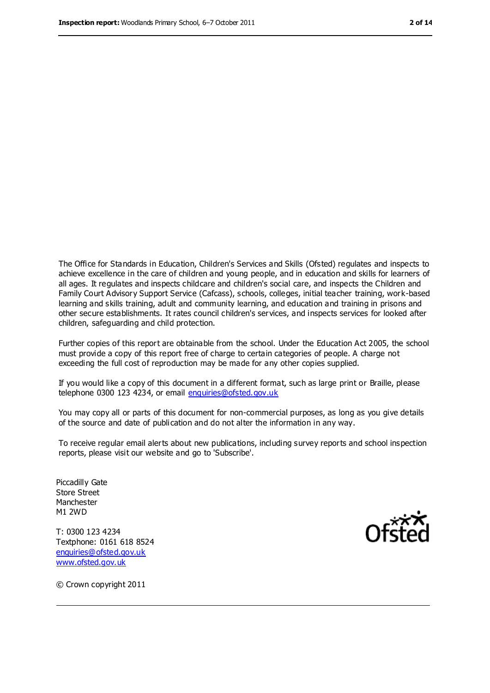The Office for Standards in Education, Children's Services and Skills (Ofsted) regulates and inspects to achieve excellence in the care of children and young people, and in education and skills for learners of all ages. It regulates and inspects childcare and children's social care, and inspects the Children and Family Court Advisory Support Service (Cafcass), schools, colleges, initial teacher training, work-based learning and skills training, adult and community learning, and education and training in prisons and other secure establishments. It rates council children's services, and inspects services for looked after children, safeguarding and child protection.

Further copies of this report are obtainable from the school. Under the Education Act 2005, the school must provide a copy of this report free of charge to certain categories of people. A charge not exceeding the full cost of reproduction may be made for any other copies supplied.

If you would like a copy of this document in a different format, such as large print or Braille, please telephone 0300 123 4234, or email [enquiries@ofsted.gov.uk](mailto:enquiries@ofsted.gov.uk)

You may copy all or parts of this document for non-commercial purposes, as long as you give details of the source and date of publication and do not alter the information in any way.

To receive regular email alerts about new publications, including survey reports and school inspection reports, please visit our website and go to 'Subscribe'.

Piccadilly Gate Store Street Manchester M1 2WD

T: 0300 123 4234 Textphone: 0161 618 8524 [enquiries@ofsted.gov.uk](mailto:enquiries@ofsted.gov.uk) [www.ofsted.gov.uk](http://www.ofsted.gov.uk/)



© Crown copyright 2011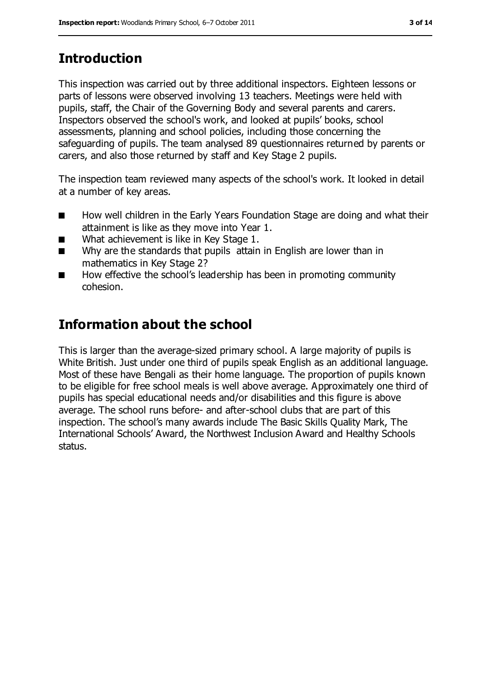# **Introduction**

This inspection was carried out by three additional inspectors. Eighteen lessons or parts of lessons were observed involving 13 teachers. Meetings were held with pupils, staff, the Chair of the Governing Body and several parents and carers. Inspectors observed the school's work, and looked at pupils' books, school assessments, planning and school policies, including those concerning the safeguarding of pupils. The team analysed 89 questionnaires returned by parents or carers, and also those returned by staff and Key Stage 2 pupils.

The inspection team reviewed many aspects of the school's work. It looked in detail at a number of key areas.

- How well children in the Early Years Foundation Stage are doing and what their attainment is like as they move into Year 1.
- What achievement is like in Key Stage 1.
- Why are the standards that pupils attain in English are lower than in mathematics in Key Stage 2?
- How effective the school's leadership has been in promoting community cohesion.

## **Information about the school**

This is larger than the average-sized primary school. A large majority of pupils is White British. Just under one third of pupils speak English as an additional language. Most of these have Bengali as their home language. The proportion of pupils known to be eligible for free school meals is well above average. Approximately one third of pupils has special educational needs and/or disabilities and this figure is above average. The school runs before- and after-school clubs that are part of this inspection. The school's many awards include The Basic Skills Quality Mark, The International Schools' Award, the Northwest Inclusion Award and Healthy Schools status.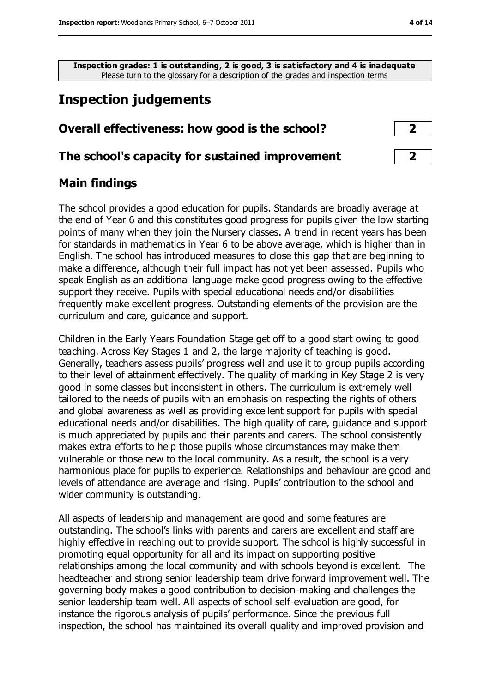**Inspection grades: 1 is outstanding, 2 is good, 3 is satisfactory and 4 is inadequate** Please turn to the glossary for a description of the grades and inspection terms

# **Inspection judgements**

| Overall effectiveness: how good is the school?  | $\overline{\mathbf{2}}$    |
|-------------------------------------------------|----------------------------|
| The school's capacity for sustained improvement | $\overline{\phantom{a}}$ 2 |

#### **Main findings**

The school provides a good education for pupils. Standards are broadly average at the end of Year 6 and this constitutes good progress for pupils given the low starting points of many when they join the Nursery classes. A trend in recent years has been for standards in mathematics in Year 6 to be above average, which is higher than in English. The school has introduced measures to close this gap that are beginning to make a difference, although their full impact has not yet been assessed. Pupils who speak English as an additional language make good progress owing to the effective support they receive. Pupils with special educational needs and/or disabilities frequently make excellent progress. Outstanding elements of the provision are the curriculum and care, guidance and support.

Children in the Early Years Foundation Stage get off to a good start owing to good teaching. Across Key Stages 1 and 2, the large majority of teaching is good. Generally, teachers assess pupils' progress well and use it to group pupils according to their level of attainment effectively. The quality of marking in Key Stage 2 is very good in some classes but inconsistent in others. The curriculum is extremely well tailored to the needs of pupils with an emphasis on respecting the rights of others and global awareness as well as providing excellent support for pupils with special educational needs and/or disabilities. The high quality of care, guidance and support is much appreciated by pupils and their parents and carers. The school consistently makes extra efforts to help those pupils whose circumstances may make them vulnerable or those new to the local community. As a result, the school is a very harmonious place for pupils to experience. Relationships and behaviour are good and levels of attendance are average and rising. Pupils' contribution to the school and wider community is outstanding.

All aspects of leadership and management are good and some features are outstanding. The school's links with parents and carers are excellent and staff are highly effective in reaching out to provide support. The school is highly successful in promoting equal opportunity for all and its impact on supporting positive relationships among the local community and with schools beyond is excellent. The headteacher and strong senior leadership team drive forward improvement well. The governing body makes a good contribution to decision-making and challenges the senior leadership team well. All aspects of school self-evaluation are good, for instance the rigorous analysis of pupils' performance. Since the previous full inspection, the school has maintained its overall quality and improved provision and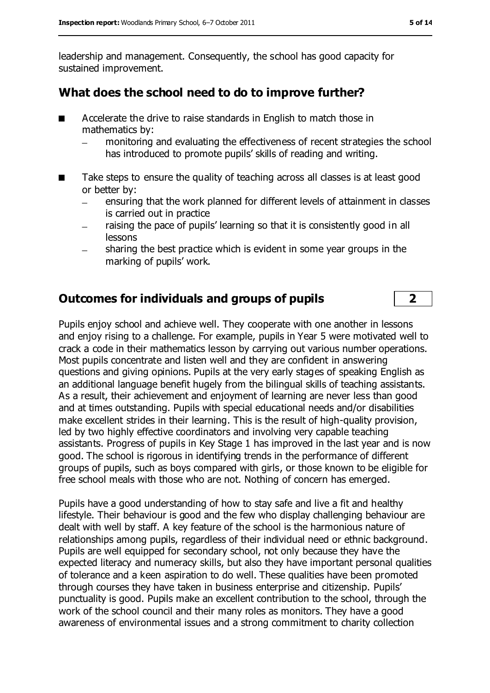leadership and management. Consequently, the school has good capacity for sustained improvement.

#### **What does the school need to do to improve further?**

- Accelerate the drive to raise standards in English to match those in mathematics by:
	- monitoring and evaluating the effectiveness of recent strategies the school has introduced to promote pupils' skills of reading and writing.
- Take steps to ensure the quality of teaching across all classes is at least good or better by:
	- ensuring that the work planned for different levels of attainment in classes is carried out in practice
	- raising the pace of pupils' learning so that it is consistently good in all lessons
	- sharing the best practice which is evident in some year groups in the marking of pupils' work.

#### **Outcomes for individuals and groups of pupils 2**

Pupils enjoy school and achieve well. They cooperate with one another in lessons and enjoy rising to a challenge. For example, pupils in Year 5 were motivated well to crack a code in their mathematics lesson by carrying out various number operations. Most pupils concentrate and listen well and they are confident in answering questions and giving opinions. Pupils at the very early stages of speaking English as an additional language benefit hugely from the bilingual skills of teaching assistants. As a result, their achievement and enjoyment of learning are never less than good and at times outstanding. Pupils with special educational needs and/or disabilities make excellent strides in their learning. This is the result of high-quality provision, led by two highly effective coordinators and involving very capable teaching assistants. Progress of pupils in Key Stage 1 has improved in the last year and is now good. The school is rigorous in identifying trends in the performance of different groups of pupils, such as boys compared with girls, or those known to be eligible for free school meals with those who are not. Nothing of concern has emerged.

Pupils have a good understanding of how to stay safe and live a fit and healthy lifestyle. Their behaviour is good and the few who display challenging behaviour are dealt with well by staff. A key feature of the school is the harmonious nature of relationships among pupils, regardless of their individual need or ethnic background. Pupils are well equipped for secondary school, not only because they have the expected literacy and numeracy skills, but also they have important personal qualities of tolerance and a keen aspiration to do well. These qualities have been promoted through courses they have taken in business enterprise and citizenship. Pupils' punctuality is good. Pupils make an excellent contribution to the school, through the work of the school council and their many roles as monitors. They have a good awareness of environmental issues and a strong commitment to charity collection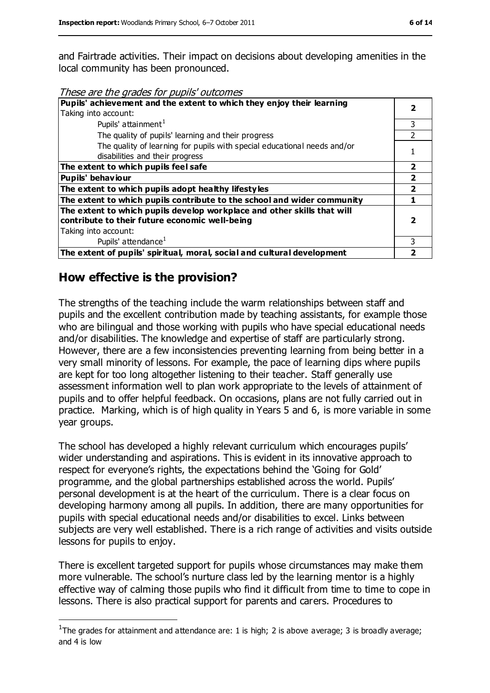and Fairtrade activities. Their impact on decisions about developing amenities in the local community has been pronounced.

These are the grades for pupils' outcomes

| Pupils' achievement and the extent to which they enjoy their learning    |   |
|--------------------------------------------------------------------------|---|
| Taking into account:                                                     |   |
| Pupils' attainment <sup>1</sup>                                          | 3 |
| The quality of pupils' learning and their progress                       |   |
| The quality of learning for pupils with special educational needs and/or |   |
| disabilities and their progress                                          |   |
| The extent to which pupils feel safe                                     | 2 |
| <b>Pupils' behaviour</b>                                                 |   |
| The extent to which pupils adopt healthy lifestyles                      | 7 |
| The extent to which pupils contribute to the school and wider community  |   |
| The extent to which pupils develop workplace and other skills that will  |   |
| contribute to their future economic well-being                           |   |
| Taking into account:                                                     |   |
| Pupils' attendance <sup>1</sup>                                          |   |
| The extent of pupils' spiritual, moral, social and cultural development  |   |

#### **How effective is the provision?**

 $\overline{a}$ 

The strengths of the teaching include the warm relationships between staff and pupils and the excellent contribution made by teaching assistants, for example those who are bilingual and those working with pupils who have special educational needs and/or disabilities. The knowledge and expertise of staff are particularly strong. However, there are a few inconsistencies preventing learning from being better in a very small minority of lessons. For example, the pace of learning dips where pupils are kept for too long altogether listening to their teacher. Staff generally use assessment information well to plan work appropriate to the levels of attainment of pupils and to offer helpful feedback. On occasions, plans are not fully carried out in practice. Marking, which is of high quality in Years 5 and 6, is more variable in some year groups.

The school has developed a highly relevant curriculum which encourages pupils' wider understanding and aspirations. This is evident in its innovative approach to respect for everyone's rights, the expectations behind the 'Going for Gold' programme, and the global partnerships established across the world. Pupils' personal development is at the heart of the curriculum. There is a clear focus on developing harmony among all pupils. In addition, there are many opportunities for pupils with special educational needs and/or disabilities to excel. Links between subjects are very well established. There is a rich range of activities and visits outside lessons for pupils to enjoy.

There is excellent targeted support for pupils whose circumstances may make them more vulnerable. The school's nurture class led by the learning mentor is a highly effective way of calming those pupils who find it difficult from time to time to cope in lessons. There is also practical support for parents and carers. Procedures to

<sup>&</sup>lt;sup>1</sup>The grades for attainment and attendance are: 1 is high; 2 is above average; 3 is broadly average; and 4 is low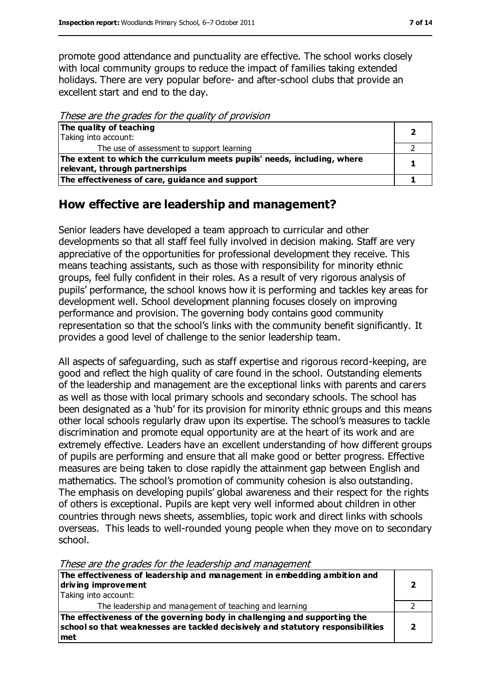promote good attendance and punctuality are effective. The school works closely with local community groups to reduce the impact of families taking extended holidays. There are very popular before- and after-school clubs that provide an excellent start and end to the day.

These are the grades for the quality of provision

| The quality of teaching                                                  |  |
|--------------------------------------------------------------------------|--|
| Taking into account:                                                     |  |
| The use of assessment to support learning                                |  |
| The extent to which the curriculum meets pupils' needs, including, where |  |
| relevant, through partnerships                                           |  |
| The effectiveness of care, guidance and support                          |  |

#### **How effective are leadership and management?**

Senior leaders have developed a team approach to curricular and other developments so that all staff feel fully involved in decision making. Staff are very appreciative of the opportunities for professional development they receive. This means teaching assistants, such as those with responsibility for minority ethnic groups, feel fully confident in their roles. As a result of very rigorous analysis of pupils' performance, the school knows how it is performing and tackles key areas for development well. School development planning focuses closely on improving performance and provision. The governing body contains good community representation so that the school's links with the community benefit significantly. It provides a good level of challenge to the senior leadership team.

All aspects of safeguarding, such as staff expertise and rigorous record-keeping, are good and reflect the high quality of care found in the school. Outstanding elements of the leadership and management are the exceptional links with parents and carers as well as those with local primary schools and secondary schools. The school has been designated as a 'hub' for its provision for minority ethnic groups and this means other local schools regularly draw upon its expertise. The school's measures to tackle discrimination and promote equal opportunity are at the heart of its work and are extremely effective. Leaders have an excellent understanding of how different groups of pupils are performing and ensure that all make good or better progress. Effective measures are being taken to close rapidly the attainment gap between English and mathematics. The school's promotion of community cohesion is also outstanding. The emphasis on developing pupils' global awareness and their respect for the rights of others is exceptional. Pupils are kept very well informed about children in other countries through news sheets, assemblies, topic work and direct links with schools overseas. This leads to well-rounded young people when they move on to secondary school.

These are the grades for the leadership and management

| The effectiveness of leadership and management in embedding ambition and<br>driving improvement<br>Taking into account:                                             |  |
|---------------------------------------------------------------------------------------------------------------------------------------------------------------------|--|
| The leadership and management of teaching and learning                                                                                                              |  |
| The effectiveness of the governing body in challenging and supporting the<br>school so that weaknesses are tackled decisively and statutory responsibilities<br>met |  |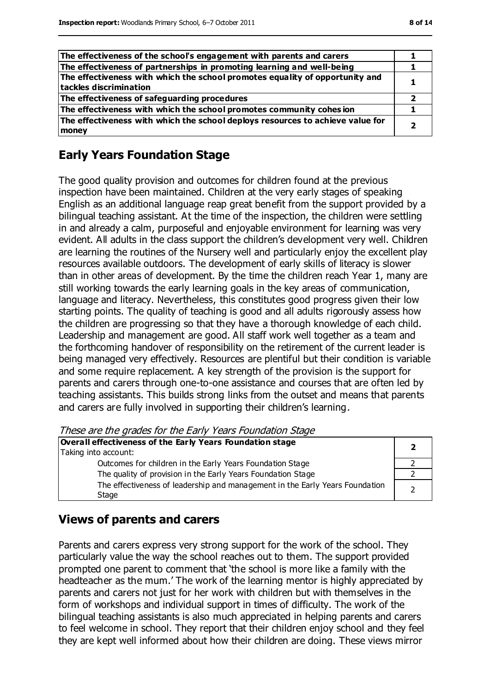| ۰.<br>× | ۹ |  |
|---------|---|--|
|         |   |  |

| The effectiveness of the school's engagement with parents and carers                                   |  |
|--------------------------------------------------------------------------------------------------------|--|
| The effectiveness of partnerships in promoting learning and well-being                                 |  |
| The effectiveness with which the school promotes equality of opportunity and<br>tackles discrimination |  |
| The effectiveness of safeguarding procedures                                                           |  |
| The effectiveness with which the school promotes community cohesion                                    |  |
| The effectiveness with which the school deploys resources to achieve value for<br>money                |  |

#### **Early Years Foundation Stage**

The good quality provision and outcomes for children found at the previous inspection have been maintained. Children at the very early stages of speaking English as an additional language reap great benefit from the support provided by a bilingual teaching assistant. At the time of the inspection, the children were settling in and already a calm, purposeful and enjoyable environment for learning was very evident. All adults in the class support the children's development very well. Children are learning the routines of the Nursery well and particularly enjoy the excellent play resources available outdoors. The development of early skills of literacy is slower than in other areas of development. By the time the children reach Year 1, many are still working towards the early learning goals in the key areas of communication, language and literacy. Nevertheless, this constitutes good progress given their low starting points. The quality of teaching is good and all adults rigorously assess how the children are progressing so that they have a thorough knowledge of each child. Leadership and management are good. All staff work well together as a team and the forthcoming handover of responsibility on the retirement of the current leader is being managed very effectively. Resources are plentiful but their condition is variable and some require replacement. A key strength of the provision is the support for parents and carers through one-to-one assistance and courses that are often led by teaching assistants. This builds strong links from the outset and means that parents and carers are fully involved in supporting their children's learning.

These are the grades for the Early Years Foundation Stage

| Overall effectiveness of the Early Years Foundation stage                             |  |
|---------------------------------------------------------------------------------------|--|
| Taking into account:                                                                  |  |
| Outcomes for children in the Early Years Foundation Stage                             |  |
| The quality of provision in the Early Years Foundation Stage                          |  |
| The effectiveness of leadership and management in the Early Years Foundation<br>Stage |  |

#### **Views of parents and carers**

Parents and carers express very strong support for the work of the school. They particularly value the way the school reaches out to them. The support provided prompted one parent to comment that 'the school is more like a family with the headteacher as the mum.' The work of the learning mentor is highly appreciated by parents and carers not just for her work with children but with themselves in the form of workshops and individual support in times of difficulty. The work of the bilingual teaching assistants is also much appreciated in helping parents and carers to feel welcome in school. They report that their children enjoy school and they feel they are kept well informed about how their children are doing. These views mirror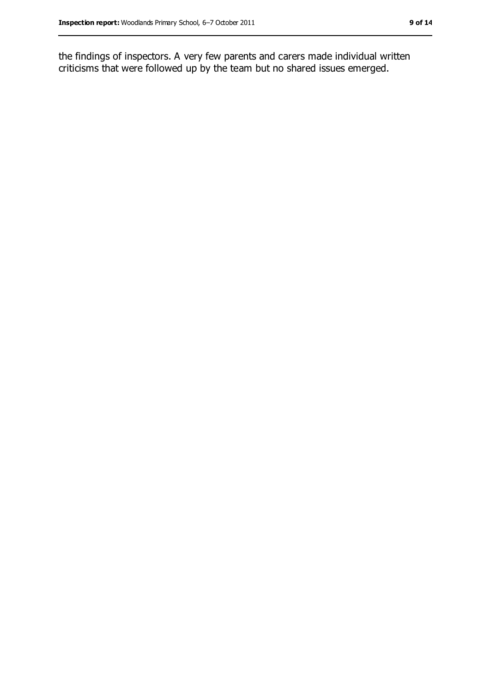the findings of inspectors. A very few parents and carers made individual written criticisms that were followed up by the team but no shared issues emerged.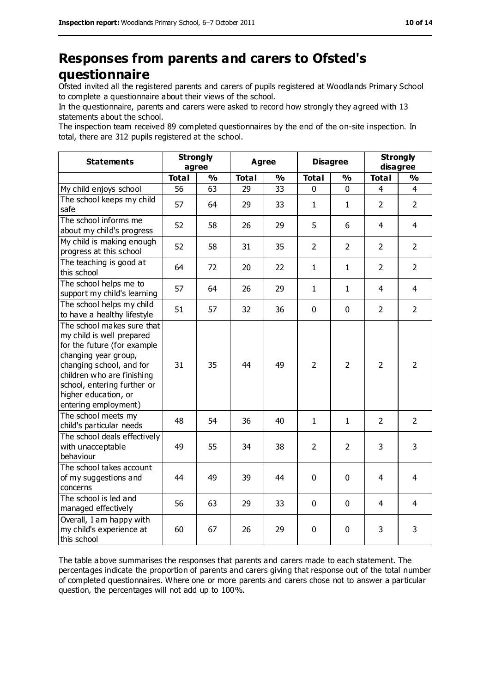### **Responses from parents and carers to Ofsted's questionnaire**

Ofsted invited all the registered parents and carers of pupils registered at Woodlands Primary School to complete a questionnaire about their views of the school.

In the questionnaire, parents and carers were asked to record how strongly they agreed with 13 statements about the school.

The inspection team received 89 completed questionnaires by the end of the on-site inspection. In total, there are 312 pupils registered at the school.

| <b>Statements</b>                                                                                                                                                                                                                                       | <b>Strongly</b> | agree         | <b>Agree</b> |               | <b>Disagree</b> |                | <b>Strongly</b><br>disagree |                |
|---------------------------------------------------------------------------------------------------------------------------------------------------------------------------------------------------------------------------------------------------------|-----------------|---------------|--------------|---------------|-----------------|----------------|-----------------------------|----------------|
|                                                                                                                                                                                                                                                         | <b>Total</b>    | $\frac{1}{2}$ | <b>Total</b> | $\frac{0}{0}$ | <b>Total</b>    | $\frac{1}{2}$  | <b>Total</b>                | $\frac{0}{0}$  |
| My child enjoys school                                                                                                                                                                                                                                  | 56              | 63            | 29           | 33            | 0               | 0              | 4                           | 4              |
| The school keeps my child<br>safe                                                                                                                                                                                                                       | 57              | 64            | 29           | 33            | $\mathbf{1}$    | $\mathbf{1}$   | $\overline{2}$              | $\overline{2}$ |
| The school informs me<br>about my child's progress                                                                                                                                                                                                      | 52              | 58            | 26           | 29            | 5               | 6              | 4                           | $\overline{4}$ |
| My child is making enough<br>progress at this school                                                                                                                                                                                                    | 52              | 58            | 31           | 35            | $\overline{2}$  | $\overline{2}$ | $\overline{2}$              | $\overline{2}$ |
| The teaching is good at<br>this school                                                                                                                                                                                                                  | 64              | 72            | 20           | 22            | $\mathbf{1}$    | $\mathbf{1}$   | $\overline{2}$              | $\overline{2}$ |
| The school helps me to<br>support my child's learning                                                                                                                                                                                                   | 57              | 64            | 26           | 29            | $\mathbf{1}$    | $\mathbf{1}$   | $\overline{4}$              | $\overline{4}$ |
| The school helps my child<br>to have a healthy lifestyle                                                                                                                                                                                                | 51              | 57            | 32           | 36            | 0               | $\mathbf 0$    | $\overline{2}$              | $\overline{2}$ |
| The school makes sure that<br>my child is well prepared<br>for the future (for example<br>changing year group,<br>changing school, and for<br>children who are finishing<br>school, entering further or<br>higher education, or<br>entering employment) | 31              | 35            | 44           | 49            | $\overline{2}$  | $\overline{2}$ | $\overline{2}$              | $\overline{2}$ |
| The school meets my<br>child's particular needs                                                                                                                                                                                                         | 48              | 54            | 36           | 40            | $\mathbf{1}$    | $\mathbf{1}$   | $\overline{2}$              | $\overline{2}$ |
| The school deals effectively<br>with unacceptable<br>behaviour                                                                                                                                                                                          | 49              | 55            | 34           | 38            | $\overline{2}$  | $\overline{2}$ | 3                           | 3              |
| The school takes account<br>of my suggestions and<br>concerns                                                                                                                                                                                           | 44              | 49            | 39           | 44            | 0               | $\mathbf 0$    | 4                           | $\overline{4}$ |
| The school is led and<br>managed effectively                                                                                                                                                                                                            | 56              | 63            | 29           | 33            | 0               | $\mathbf 0$    | 4                           | $\overline{4}$ |
| Overall, I am happy with<br>my child's experience at<br>this school                                                                                                                                                                                     | 60              | 67            | 26           | 29            | 0               | $\mathbf 0$    | 3                           | 3              |

The table above summarises the responses that parents and carers made to each statement. The percentages indicate the proportion of parents and carers giving that response out of the total number of completed questionnaires. Where one or more parents and carers chose not to answer a particular question, the percentages will not add up to 100%.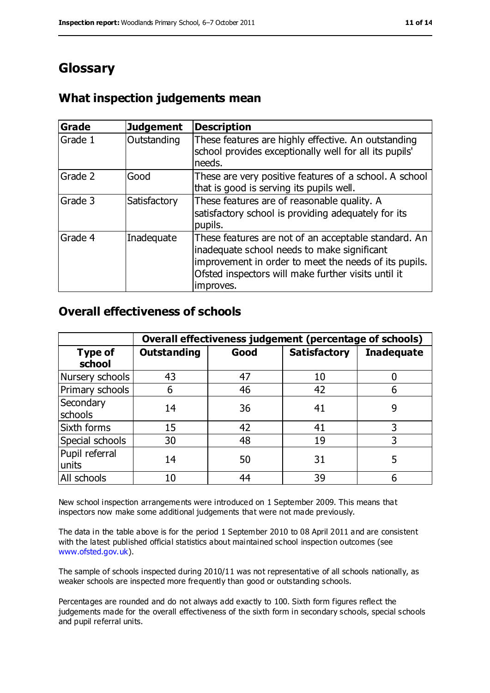# **Glossary**

#### **What inspection judgements mean**

| <b>Grade</b> | <b>Judgement</b> | <b>Description</b>                                                                                                                                                                                                               |
|--------------|------------------|----------------------------------------------------------------------------------------------------------------------------------------------------------------------------------------------------------------------------------|
| Grade 1      | Outstanding      | These features are highly effective. An outstanding<br>school provides exceptionally well for all its pupils'<br>needs.                                                                                                          |
| Grade 2      | Good             | These are very positive features of a school. A school<br>that is good is serving its pupils well.                                                                                                                               |
| Grade 3      | Satisfactory     | These features are of reasonable quality. A<br>satisfactory school is providing adequately for its<br>pupils.                                                                                                                    |
| Grade 4      | Inadequate       | These features are not of an acceptable standard. An<br>inadequate school needs to make significant<br>improvement in order to meet the needs of its pupils.<br>Ofsted inspectors will make further visits until it<br>improves. |

#### **Overall effectiveness of schools**

|                          | Overall effectiveness judgement (percentage of schools) |      |                     |                   |  |
|--------------------------|---------------------------------------------------------|------|---------------------|-------------------|--|
| <b>Type of</b><br>school | <b>Outstanding</b>                                      | Good | <b>Satisfactory</b> | <b>Inadequate</b> |  |
| Nursery schools          | 43                                                      | 47   | 10                  |                   |  |
| Primary schools          | 6                                                       | 46   | 42                  | 6                 |  |
| Secondary<br>schools     | 14                                                      | 36   | 41                  | 9                 |  |
| Sixth forms              | 15                                                      | 42   | 41                  | 3                 |  |
| Special schools          | 30                                                      | 48   | 19                  |                   |  |
| Pupil referral<br>units  | 14                                                      | 50   | 31                  | 5                 |  |
| All schools              | 10                                                      | 44   | 39                  |                   |  |

New school inspection arrangements were introduced on 1 September 2009. This means that inspectors now make some additional judgements that were not made previously.

The data in the table above is for the period 1 September 2010 to 08 April 2011 and are consistent with the latest published official statistics about maintained school inspection outcomes (see [www.ofsted.gov.uk\)](http://www.ofsted.gov.uk/).

The sample of schools inspected during 2010/11 was not representative of all schools nationally, as weaker schools are inspected more frequently than good or outstanding schools.

Percentages are rounded and do not always add exactly to 100. Sixth form figures reflect the judgements made for the overall effectiveness of the sixth form in secondary schools, special schools and pupil referral units.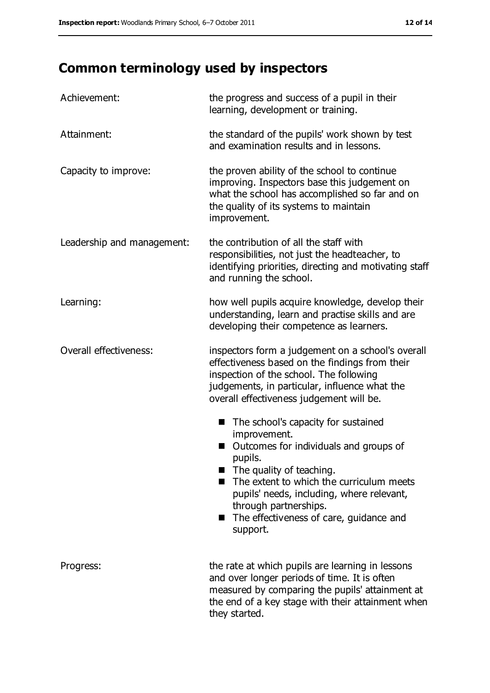# **Common terminology used by inspectors**

| Achievement:               | the progress and success of a pupil in their<br>learning, development or training.                                                                                                                                                                                                                                 |
|----------------------------|--------------------------------------------------------------------------------------------------------------------------------------------------------------------------------------------------------------------------------------------------------------------------------------------------------------------|
| Attainment:                | the standard of the pupils' work shown by test<br>and examination results and in lessons.                                                                                                                                                                                                                          |
| Capacity to improve:       | the proven ability of the school to continue<br>improving. Inspectors base this judgement on<br>what the school has accomplished so far and on<br>the quality of its systems to maintain<br>improvement.                                                                                                           |
| Leadership and management: | the contribution of all the staff with<br>responsibilities, not just the headteacher, to<br>identifying priorities, directing and motivating staff<br>and running the school.                                                                                                                                      |
| Learning:                  | how well pupils acquire knowledge, develop their<br>understanding, learn and practise skills and are<br>developing their competence as learners.                                                                                                                                                                   |
| Overall effectiveness:     | inspectors form a judgement on a school's overall<br>effectiveness based on the findings from their<br>inspection of the school. The following<br>judgements, in particular, influence what the<br>overall effectiveness judgement will be.                                                                        |
|                            | The school's capacity for sustained<br>improvement.<br>Outcomes for individuals and groups of<br>pupils.<br>The quality of teaching.<br>The extent to which the curriculum meets<br>pupils' needs, including, where relevant,<br>through partnerships.<br>The effectiveness of care, guidance and<br>■<br>support. |
| Progress:                  | the rate at which pupils are learning in lessons<br>and over longer periods of time. It is often<br>measured by comparing the pupils' attainment at<br>the end of a key stage with their attainment when<br>they started.                                                                                          |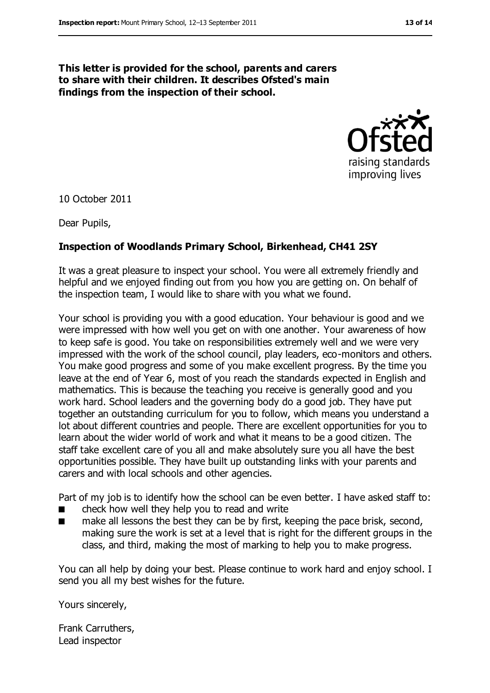#### **This letter is provided for the school, parents and carers to share with their children. It describes Ofsted's main findings from the inspection of their school.**



10 October 2011

Dear Pupils,

#### **Inspection of Woodlands Primary School, Birkenhead, CH41 2SY**

It was a great pleasure to inspect your school. You were all extremely friendly and helpful and we enjoyed finding out from you how you are getting on. On behalf of the inspection team, I would like to share with you what we found.

Your school is providing you with a good education. Your behaviour is good and we were impressed with how well you get on with one another. Your awareness of how to keep safe is good. You take on responsibilities extremely well and we were very impressed with the work of the school council, play leaders, eco-monitors and others. You make good progress and some of you make excellent progress. By the time you leave at the end of Year 6, most of you reach the standards expected in English and mathematics. This is because the teaching you receive is generally good and you work hard. School leaders and the governing body do a good job. They have put together an outstanding curriculum for you to follow, which means you understand a lot about different countries and people. There are excellent opportunities for you to learn about the wider world of work and what it means to be a good citizen. The staff take excellent care of you all and make absolutely sure you all have the best opportunities possible. They have built up outstanding links with your parents and carers and with local schools and other agencies.

Part of my job is to identify how the school can be even better. I have asked staff to:

- check how well they help you to read and write
- make all lessons the best they can be by first, keeping the pace brisk, second, making sure the work is set at a level that is right for the different groups in the class, and third, making the most of marking to help you to make progress.

You can all help by doing your best. Please continue to work hard and enjoy school. I send you all my best wishes for the future.

Yours sincerely,

Frank Carruthers, Lead inspector